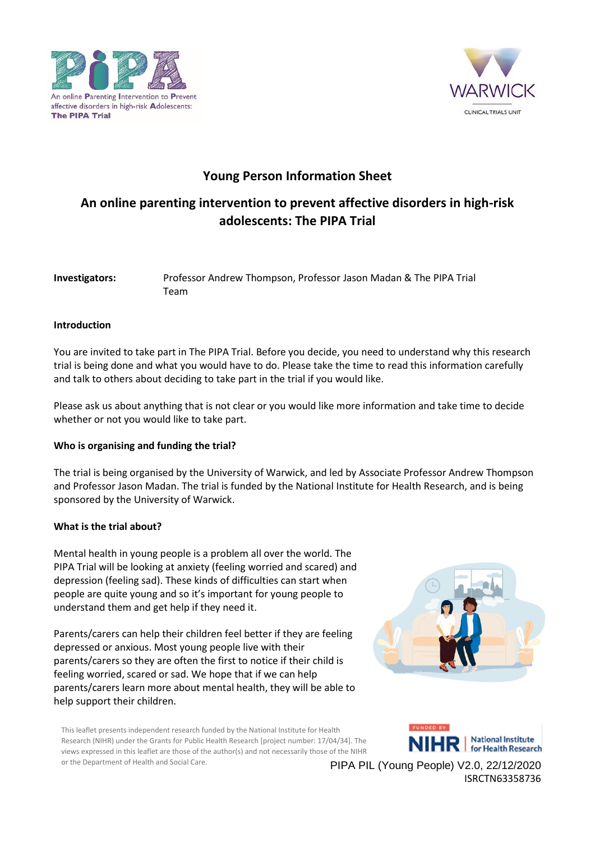



## **Young Person Information Sheet**

# **An online parenting intervention to prevent affective disorders in high-risk adolescents: The PIPA Trial**

| Investigators: | Professor Andrew Thompson, Professor Jason Madan & The PIPA Trial |
|----------------|-------------------------------------------------------------------|
|                | Team                                                              |

## **Introduction**

You are invited to take part in The PIPA Trial. Before you decide, you need to understand why this research trial is being done and what you would have to do. Please take the time to read this information carefully and talk to others about deciding to take part in the trial if you would like.

Please ask us about anything that is not clear or you would like more information and take time to decide whether or not you would like to take part.

## **Who is organising and funding the trial?**

The trial is being organised by the University of Warwick, and led by Associate Professor Andrew Thompson and Professor Jason Madan. The trial is funded by the National Institute for Health Research, and is being sponsored by the University of Warwick.

## **What is the trial about?**

Mental health in young people is a problem all over the world. The PIPA Trial will be looking at anxiety (feeling worried and scared) and depression (feeling sad). These kinds of difficulties can start when people are quite young and so it's important for young people to understand them and get help if they need it.

Parents/carers can help their children feel better if they are feeling depressed or anxious. Most young people live with their parents/carers so they are often the first to notice if their child is feeling worried, scared or sad. We hope that if we can help parents/carers learn more about mental health, they will be able to help support their children.



This leaflet presents independent research funded by the National Institute for Health Research (NIHR) under the Grants for Public Health Research [project number: 17/04/34]. The views expressed in this leaflet are those of the author(s) and not necessarily those of the NIHR or the Department of Health and Social Care.

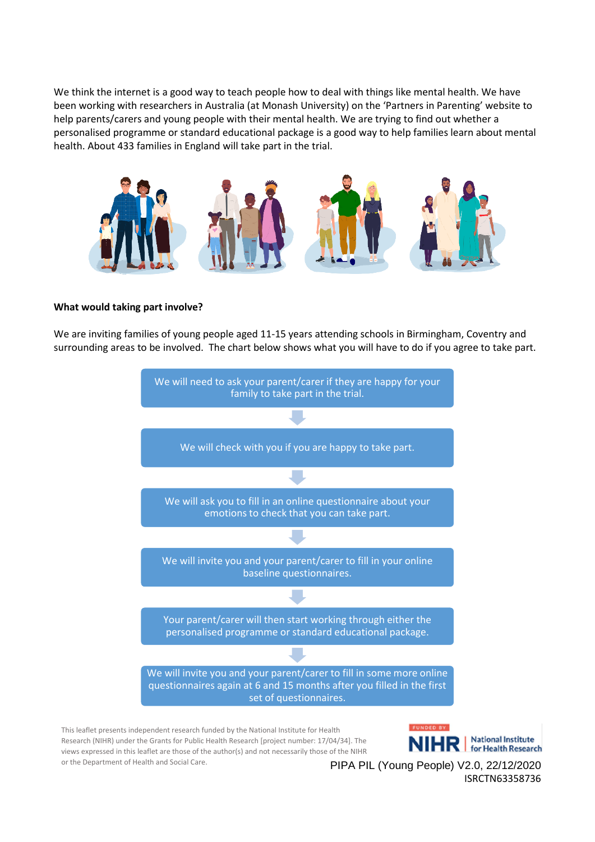We think the internet is a good way to teach people how to deal with things like mental health. We have been working with researchers in Australia (at Monash University) on the 'Partners in Parenting' website to help parents/carers and young people with their mental health. We are trying to find out whether a personalised programme or standard educational package is a good way to help families learn about mental health. About 433 families in England will take part in the trial.



#### **What would taking part involve?**

We are inviting families of young people aged 11-15 years attending schools in Birmingham, Coventry and surrounding areas to be involved. The chart below shows what you will have to do if you agree to take part.



This leaflet presents independent research funded by the National Institute for Health Research (NIHR) under the Grants for Public Health Research [project number: 17/04/34]. The views expressed in this leaflet are those of the author(s) and not necessarily those of the NIHR or the Department of Health and Social Care.

NIHR | National Institute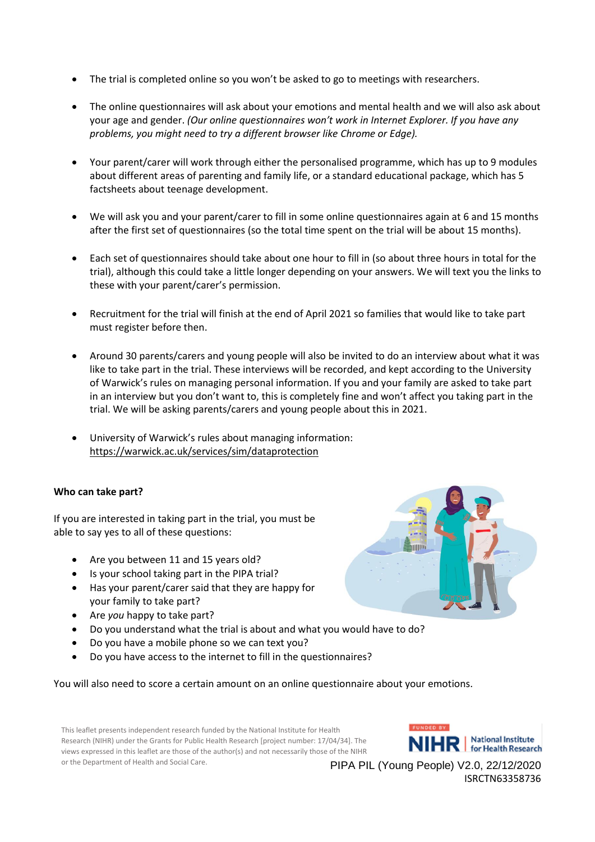- The trial is completed online so you won't be asked to go to meetings with researchers.
- The online questionnaires will ask about your emotions and mental health and we will also ask about your age and gender. *(Our online questionnaires won't work in Internet Explorer. If you have any problems, you might need to try a different browser like Chrome or Edge).*
- Your parent/carer will work through either the personalised programme, which has up to 9 modules about different areas of parenting and family life, or a standard educational package, which has 5 factsheets about teenage development.
- We will ask you and your parent/carer to fill in some online questionnaires again at 6 and 15 months after the first set of questionnaires (so the total time spent on the trial will be about 15 months).
- Each set of questionnaires should take about one hour to fill in (so about three hours in total for the trial), although this could take a little longer depending on your answers. We will text you the links to these with your parent/carer's permission.
- Recruitment for the trial will finish at the end of April 2021 so families that would like to take part must register before then.
- Around 30 parents/carers and young people will also be invited to do an interview about what it was like to take part in the trial. These interviews will be recorded, and kept according to the University of Warwick's rules on managing personal information. If you and your family are asked to take part in an interview but you don't want to, this is completely fine and won't affect you taking part in the trial. We will be asking parents/carers and young people about this in 2021.
- University of Warwick's rules about managing information: <https://warwick.ac.uk/services/sim/dataprotection>

#### **Who can take part?**

If you are interested in taking part in the trial, you must be able to say yes to all of these questions:

- Are you between 11 and 15 years old?
- Is your school taking part in the PIPA trial?
- Has your parent/carer said that they are happy for your family to take part?
- Are *you* happy to take part?
- Do you understand what the trial is about and what you would have to do?
- Do you have a mobile phone so we can text you?
- Do you have access to the internet to fill in the questionnaires?

You will also need to score a certain amount on an online questionnaire about your emotions.

This leaflet presents independent research funded by the National Institute for Health Research (NIHR) under the Grants for Public Health Research [project number: 17/04/34]. The views expressed in this leaflet are those of the author(s) and not necessarily those of the NIHR or the Department of Health and Social Care.

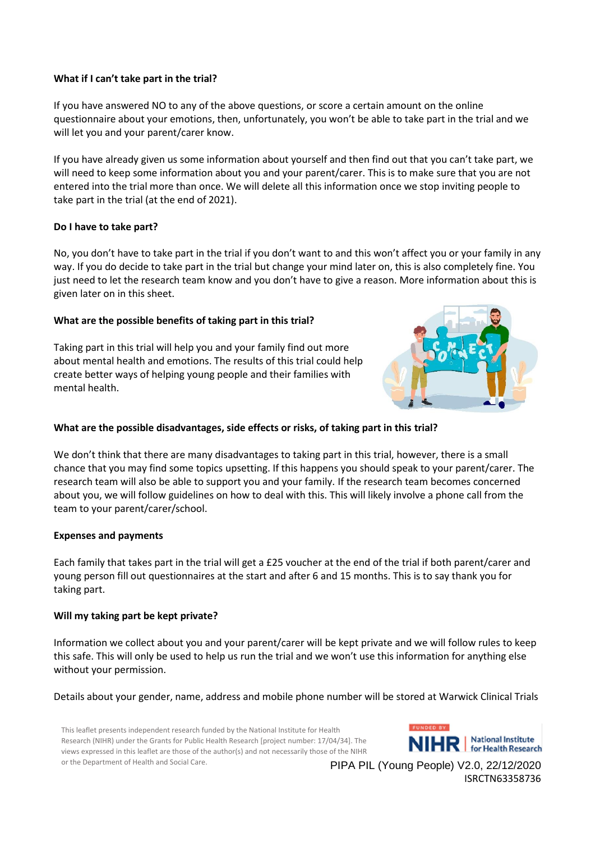#### **What if I can't take part in the trial?**

If you have answered NO to any of the above questions, or score a certain amount on the online questionnaire about your emotions, then, unfortunately, you won't be able to take part in the trial and we will let you and your parent/carer know.

If you have already given us some information about yourself and then find out that you can't take part, we will need to keep some information about you and your parent/carer. This is to make sure that you are not entered into the trial more than once. We will delete all this information once we stop inviting people to take part in the trial (at the end of 2021).

## **Do I have to take part?**

No, you don't have to take part in the trial if you don't want to and this won't affect you or your family in any way. If you do decide to take part in the trial but change your mind later on, this is also completely fine. You just need to let the research team know and you don't have to give a reason. More information about this is given later on in this sheet.

#### **What are the possible benefits of taking part in this trial?**

Taking part in this trial will help you and your family find out more about mental health and emotions. The results of this trial could help create better ways of helping young people and their families with mental health.



## **What are the possible disadvantages, side effects or risks, of taking part in this trial?**

We don't think that there are many disadvantages to taking part in this trial, however, there is a small chance that you may find some topics upsetting. If this happens you should speak to your parent/carer. The research team will also be able to support you and your family. If the research team becomes concerned about you, we will follow guidelines on how to deal with this. This will likely involve a phone call from the team to your parent/carer/school.

#### **Expenses and payments**

Each family that takes part in the trial will get a £25 voucher at the end of the trial if both parent/carer and young person fill out questionnaires at the start and after 6 and 15 months. This is to say thank you for taking part.

#### **Will my taking part be kept private?**

Information we collect about you and your parent/carer will be kept private and we will follow rules to keep this safe. This will only be used to help us run the trial and we won't use this information for anything else without your permission.

Details about your gender, name, address and mobile phone number will be stored at Warwick Clinical Trials

This leaflet presents independent research funded by the National Institute for Health Research (NIHR) under the Grants for Public Health Research [project number: 17/04/34]. The views expressed in this leaflet are those of the author(s) and not necessarily those of the NIHR or the Department of Health and Social Care.

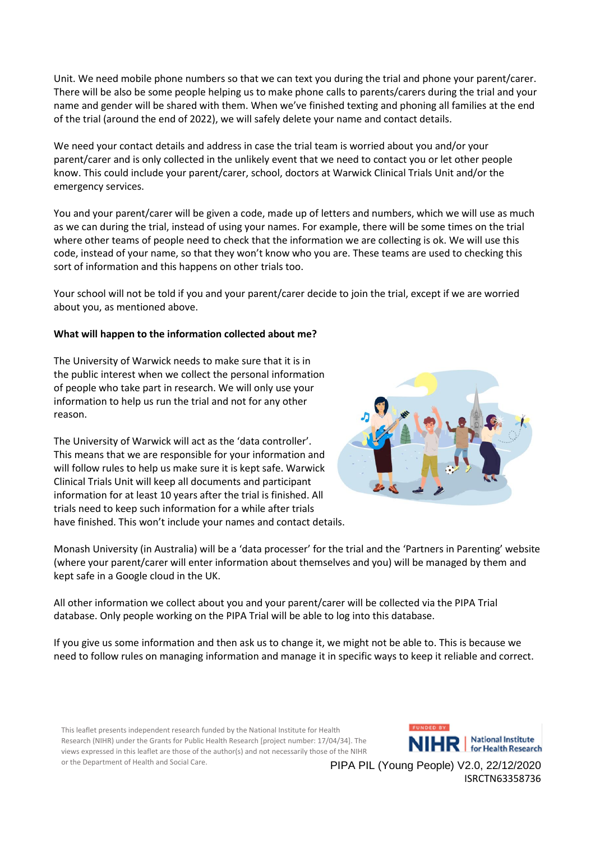Unit. We need mobile phone numbers so that we can text you during the trial and phone your parent/carer. There will be also be some people helping us to make phone calls to parents/carers during the trial and your name and gender will be shared with them. When we've finished texting and phoning all families at the end of the trial (around the end of 2022), we will safely delete your name and contact details.

We need your contact details and address in case the trial team is worried about you and/or your parent/carer and is only collected in the unlikely event that we need to contact you or let other people know. This could include your parent/carer, school, doctors at Warwick Clinical Trials Unit and/or the emergency services.

You and your parent/carer will be given a code, made up of letters and numbers, which we will use as much as we can during the trial, instead of using your names. For example, there will be some times on the trial where other teams of people need to check that the information we are collecting is ok. We will use this code, instead of your name, so that they won't know who you are. These teams are used to checking this sort of information and this happens on other trials too.

Your school will not be told if you and your parent/carer decide to join the trial, except if we are worried about you, as mentioned above.

#### **What will happen to the information collected about me?**

The University of Warwick needs to make sure that it is in the public interest when we collect the personal information of people who take part in research. We will only use your information to help us run the trial and not for any other reason.

The University of Warwick will act as the 'data controller'. This means that we are responsible for your information and will follow rules to help us make sure it is kept safe. Warwick Clinical Trials Unit will keep all documents and participant information for at least 10 years after the trial is finished. All trials need to keep such information for a while after trials have finished. This won't include your names and contact details.



Monash University (in Australia) will be a 'data processer' for the trial and the 'Partners in Parenting' website (where your parent/carer will enter information about themselves and you) will be managed by them and kept safe in a Google cloud in the UK.

All other information we collect about you and your parent/carer will be collected via the PIPA Trial database. Only people working on the PIPA Trial will be able to log into this database.

If you give us some information and then ask us to change it, we might not be able to. This is because we need to follow rules on managing information and manage it in specific ways to keep it reliable and correct.

This leaflet presents independent research funded by the National Institute for Health Research (NIHR) under the Grants for Public Health Research [project number: 17/04/34]. The views expressed in this leaflet are those of the author(s) and not necessarily those of the NIHR or the Department of Health and Social Care.

**FUNDED BY HR** | National Institute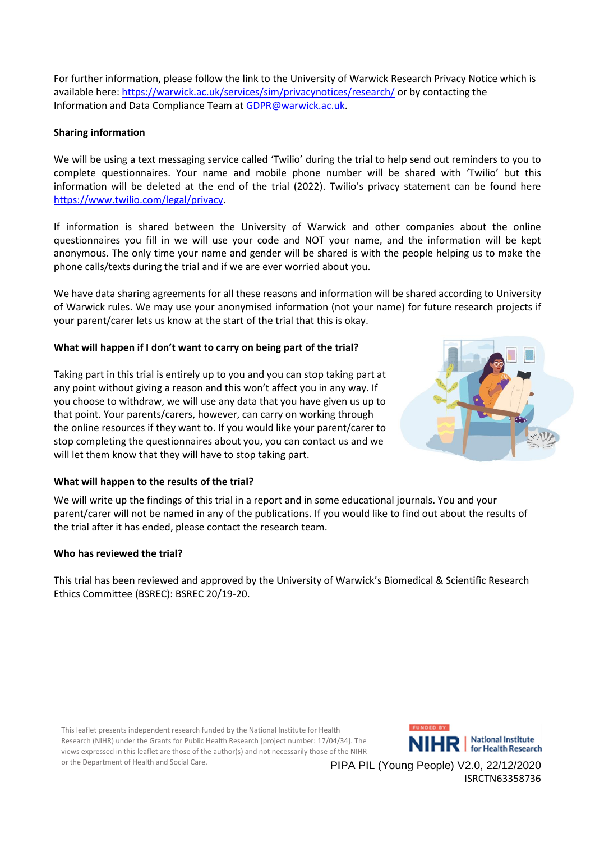For further information, please follow the link to the University of Warwick Research Privacy Notice which is available here:<https://warwick.ac.uk/services/sim/privacynotices/research/> or by contacting the Information and Data Compliance Team at [GDPR@warwick.ac.uk.](mailto:GDPR@warwick.ac.uk)

### **Sharing information**

We will be using a text messaging service called 'Twilio' during the trial to help send out reminders to you to complete questionnaires. Your name and mobile phone number will be shared with 'Twilio' but this information will be deleted at the end of the trial (2022). Twilio's privacy statement can be found here [https://www.twilio.com/legal/privacy.](https://www.twilio.com/legal/privacy)

If information is shared between the University of Warwick and other companies about the online questionnaires you fill in we will use your code and NOT your name, and the information will be kept anonymous. The only time your name and gender will be shared is with the people helping us to make the phone calls/texts during the trial and if we are ever worried about you.

We have data sharing agreements for all these reasons and information will be shared according to University of Warwick rules. We may use your anonymised information (not your name) for future research projects if your parent/carer lets us know at the start of the trial that this is okay.

#### **What will happen if I don't want to carry on being part of the trial?**

Taking part in this trial is entirely up to you and you can stop taking part at any point without giving a reason and this won't affect you in any way. If you choose to withdraw, we will use any data that you have given us up to that point. Your parents/carers, however, can carry on working through the online resources if they want to. If you would like your parent/carer to stop completing the questionnaires about you, you can contact us and we will let them know that they will have to stop taking part.



#### **What will happen to the results of the trial?**

We will write up the findings of this trial in a report and in some educational journals. You and your parent/carer will not be named in any of the publications. If you would like to find out about the results of the trial after it has ended, please contact the research team.

#### **Who has reviewed the trial?**

This trial has been reviewed and approved by the University of Warwick's Biomedical & Scientific Research Ethics Committee (BSREC): BSREC 20/19-20.

This leaflet presents independent research funded by the National Institute for Health Research (NIHR) under the Grants for Public Health Research [project number: 17/04/34]. The views expressed in this leaflet are those of the author(s) and not necessarily those of the NIHR or the Department of Health and Social Care.